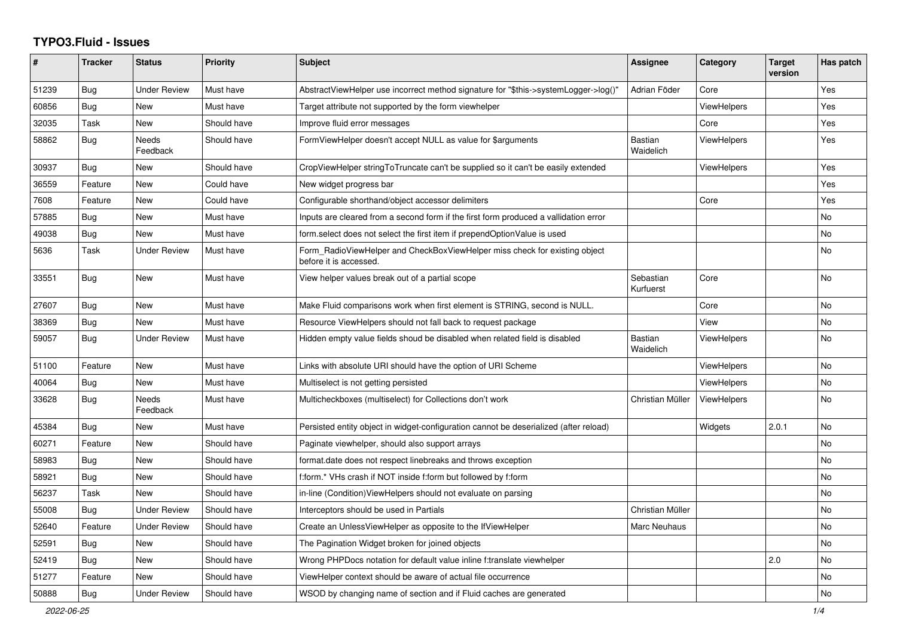## **TYPO3.Fluid - Issues**

| #     | <b>Tracker</b> | <b>Status</b>       | <b>Priority</b> | <b>Subject</b>                                                                                       | Assignee                    | Category           | <b>Target</b><br>version | Has patch |
|-------|----------------|---------------------|-----------------|------------------------------------------------------------------------------------------------------|-----------------------------|--------------------|--------------------------|-----------|
| 51239 | Bug            | Under Review        | Must have       | AbstractViewHelper use incorrect method signature for "\$this->systemLogger->log()"                  | Adrian Föder                | Core               |                          | Yes       |
| 60856 | Bug            | New                 | Must have       | Target attribute not supported by the form viewhelper                                                |                             | <b>ViewHelpers</b> |                          | Yes       |
| 32035 | Task           | New                 | Should have     | Improve fluid error messages                                                                         |                             | Core               |                          | Yes       |
| 58862 | <b>Bug</b>     | Needs<br>Feedback   | Should have     | FormViewHelper doesn't accept NULL as value for \$arguments                                          | Bastian<br>Waidelich        | ViewHelpers        |                          | Yes       |
| 30937 | <b>Bug</b>     | New                 | Should have     | CropViewHelper stringToTruncate can't be supplied so it can't be easily extended                     |                             | ViewHelpers        |                          | Yes       |
| 36559 | Feature        | <b>New</b>          | Could have      | New widget progress bar                                                                              |                             |                    |                          | Yes       |
| 7608  | Feature        | New                 | Could have      | Configurable shorthand/object accessor delimiters                                                    |                             | Core               |                          | Yes       |
| 57885 | Bug            | New                 | Must have       | Inputs are cleared from a second form if the first form produced a vallidation error                 |                             |                    |                          | <b>No</b> |
| 49038 | Bug            | New                 | Must have       | form.select does not select the first item if prependOptionValue is used                             |                             |                    |                          | No        |
| 5636  | Task           | Under Review        | Must have       | Form_RadioViewHelper and CheckBoxViewHelper miss check for existing object<br>before it is accessed. |                             |                    |                          | No        |
| 33551 | Bug            | New                 | Must have       | View helper values break out of a partial scope                                                      | Sebastian<br>Kurfuerst      | Core               |                          | No        |
| 27607 | <b>Bug</b>     | New                 | Must have       | Make Fluid comparisons work when first element is STRING, second is NULL.                            |                             | Core               |                          | No        |
| 38369 | Bug            | New                 | Must have       | Resource ViewHelpers should not fall back to request package                                         |                             | View               |                          | No        |
| 59057 | <b>Bug</b>     | <b>Under Review</b> | Must have       | Hidden empty value fields shoud be disabled when related field is disabled                           | <b>Bastian</b><br>Waidelich | <b>ViewHelpers</b> |                          | No        |
| 51100 | Feature        | New                 | Must have       | Links with absolute URI should have the option of URI Scheme                                         |                             | ViewHelpers        |                          | No        |
| 40064 | Bug            | New                 | Must have       | Multiselect is not getting persisted                                                                 |                             | <b>ViewHelpers</b> |                          | No        |
| 33628 | Bug            | Needs<br>Feedback   | Must have       | Multicheckboxes (multiselect) for Collections don't work                                             | Christian Müller            | ViewHelpers        |                          | <b>No</b> |
| 45384 | Bug            | New                 | Must have       | Persisted entity object in widget-configuration cannot be deserialized (after reload)                |                             | Widgets            | 2.0.1                    | <b>No</b> |
| 60271 | Feature        | New                 | Should have     | Paginate viewhelper, should also support arrays                                                      |                             |                    |                          | <b>No</b> |
| 58983 | <b>Bug</b>     | New                 | Should have     | format.date does not respect linebreaks and throws exception                                         |                             |                    |                          | <b>No</b> |
| 58921 | Bug            | New                 | Should have     | f:form.* VHs crash if NOT inside f:form but followed by f:form                                       |                             |                    |                          | <b>No</b> |
| 56237 | Task           | New                 | Should have     | in-line (Condition)ViewHelpers should not evaluate on parsing                                        |                             |                    |                          | No        |
| 55008 | Bug            | Under Review        | Should have     | Interceptors should be used in Partials                                                              | Christian Müller            |                    |                          | No        |
| 52640 | Feature        | <b>Under Review</b> | Should have     | Create an UnlessViewHelper as opposite to the IfViewHelper                                           | Marc Neuhaus                |                    |                          | <b>No</b> |
| 52591 | Bug            | New                 | Should have     | The Pagination Widget broken for joined objects                                                      |                             |                    |                          | <b>No</b> |
| 52419 | Bug            | New                 | Should have     | Wrong PHPDocs notation for default value inline f:translate viewhelper                               |                             |                    | 2.0                      | <b>No</b> |
| 51277 | Feature        | New                 | Should have     | ViewHelper context should be aware of actual file occurrence                                         |                             |                    |                          | No        |
| 50888 | Bug            | <b>Under Review</b> | Should have     | WSOD by changing name of section and if Fluid caches are generated                                   |                             |                    |                          | No        |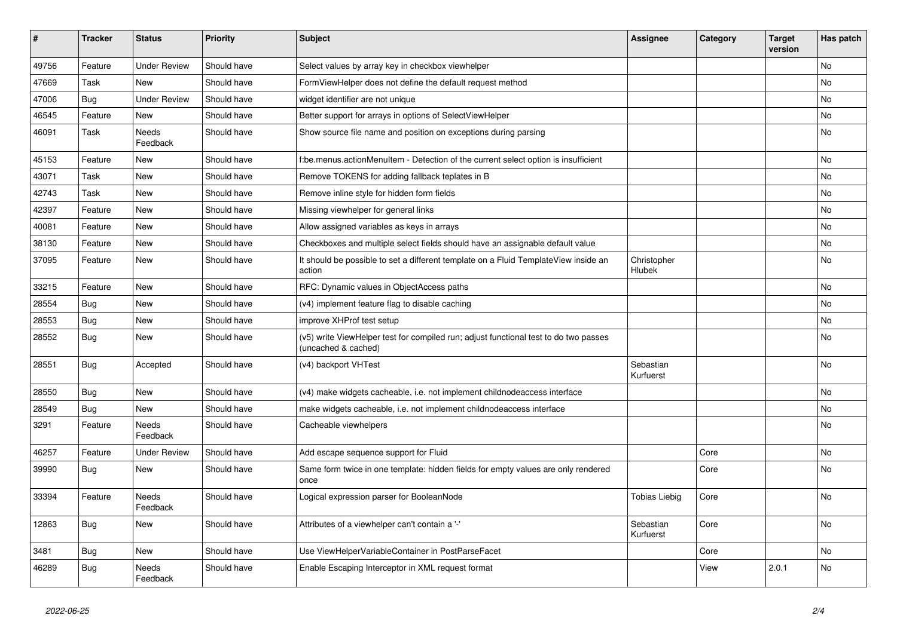| $\vert$ # | <b>Tracker</b> | <b>Status</b>            | <b>Priority</b> | <b>Subject</b>                                                                                              | Assignee               | Category | <b>Target</b><br>version | Has patch |
|-----------|----------------|--------------------------|-----------------|-------------------------------------------------------------------------------------------------------------|------------------------|----------|--------------------------|-----------|
| 49756     | Feature        | <b>Under Review</b>      | Should have     | Select values by array key in checkbox viewhelper                                                           |                        |          |                          | <b>No</b> |
| 47669     | Task           | New                      | Should have     | FormViewHelper does not define the default request method                                                   |                        |          |                          | <b>No</b> |
| 47006     | Bug            | <b>Under Review</b>      | Should have     | widget identifier are not unique                                                                            |                        |          |                          | No        |
| 46545     | Feature        | <b>New</b>               | Should have     | Better support for arrays in options of SelectViewHelper                                                    |                        |          |                          | No        |
| 46091     | Task           | <b>Needs</b><br>Feedback | Should have     | Show source file name and position on exceptions during parsing                                             |                        |          |                          | <b>No</b> |
| 45153     | Feature        | <b>New</b>               | Should have     | f:be.menus.actionMenuItem - Detection of the current select option is insufficient                          |                        |          |                          | No        |
| 43071     | Task           | <b>New</b>               | Should have     | Remove TOKENS for adding fallback teplates in B                                                             |                        |          |                          | No        |
| 42743     | Task           | New                      | Should have     | Remove inline style for hidden form fields                                                                  |                        |          |                          | No        |
| 42397     | Feature        | New                      | Should have     | Missing viewhelper for general links                                                                        |                        |          |                          | No        |
| 40081     | Feature        | New                      | Should have     | Allow assigned variables as keys in arrays                                                                  |                        |          |                          | No        |
| 38130     | Feature        | <b>New</b>               | Should have     | Checkboxes and multiple select fields should have an assignable default value                               |                        |          |                          | No        |
| 37095     | Feature        | <b>New</b>               | Should have     | It should be possible to set a different template on a Fluid TemplateView inside an<br>action               | Christopher<br>Hlubek  |          |                          | <b>No</b> |
| 33215     | Feature        | <b>New</b>               | Should have     | RFC: Dynamic values in ObjectAccess paths                                                                   |                        |          |                          | <b>No</b> |
| 28554     | Bug            | New                      | Should have     | (v4) implement feature flag to disable caching                                                              |                        |          |                          | <b>No</b> |
| 28553     | <b>Bug</b>     | New                      | Should have     | improve XHProf test setup                                                                                   |                        |          |                          | <b>No</b> |
| 28552     | Bug            | New                      | Should have     | (v5) write ViewHelper test for compiled run; adjust functional test to do two passes<br>(uncached & cached) |                        |          |                          | No        |
| 28551     | Bug            | Accepted                 | Should have     | (v4) backport VHTest                                                                                        | Sebastian<br>Kurfuerst |          |                          | <b>No</b> |
| 28550     | <b>Bug</b>     | New                      | Should have     | (v4) make widgets cacheable, i.e. not implement childnodeaccess interface                                   |                        |          |                          | <b>No</b> |
| 28549     | Bug            | New                      | Should have     | make widgets cacheable, i.e. not implement childnodeaccess interface                                        |                        |          |                          | No        |
| 3291      | Feature        | Needs<br>Feedback        | Should have     | Cacheable viewhelpers                                                                                       |                        |          |                          | No        |
| 46257     | Feature        | <b>Under Review</b>      | Should have     | Add escape sequence support for Fluid                                                                       |                        | Core     |                          | <b>No</b> |
| 39990     | Bug            | New                      | Should have     | Same form twice in one template: hidden fields for empty values are only rendered<br>once                   |                        | Core     |                          | <b>No</b> |
| 33394     | Feature        | <b>Needs</b><br>Feedback | Should have     | Logical expression parser for BooleanNode                                                                   | <b>Tobias Liebig</b>   | Core     |                          | <b>No</b> |
| 12863     | Bug            | New                      | Should have     | Attributes of a viewhelper can't contain a '-'                                                              | Sebastian<br>Kurfuerst | Core     |                          | No        |
| 3481      | Bug            | <b>New</b>               | Should have     | Use ViewHelperVariableContainer in PostParseFacet                                                           |                        | Core     |                          | <b>No</b> |
| 46289     | Bug            | Needs<br>Feedback        | Should have     | Enable Escaping Interceptor in XML request format                                                           |                        | View     | 2.0.1                    | <b>No</b> |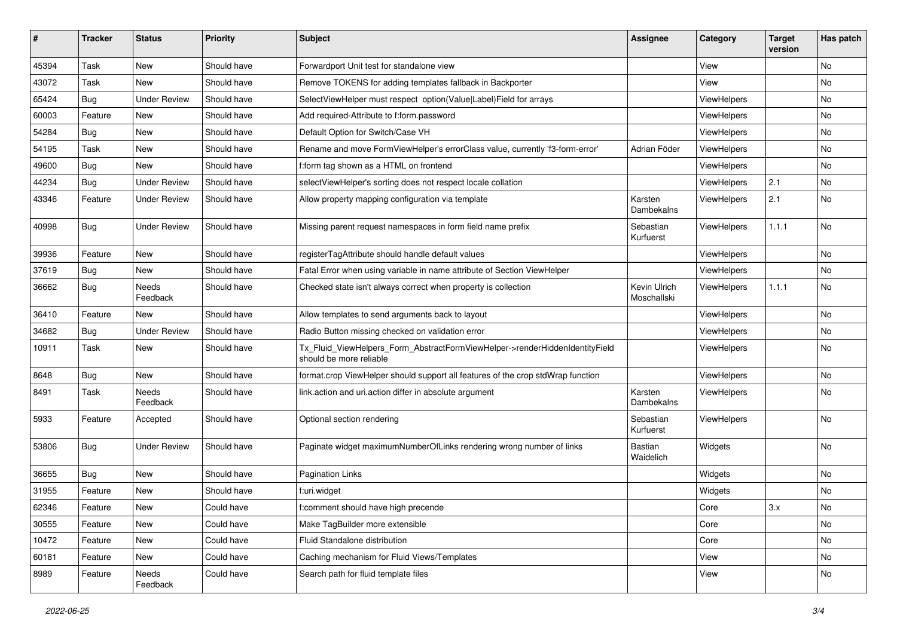| ∦     | <b>Tracker</b> | <b>Status</b>            | <b>Priority</b> | <b>Subject</b>                                                                                         | <b>Assignee</b>             | Category    | <b>Target</b><br>version | Has patch |
|-------|----------------|--------------------------|-----------------|--------------------------------------------------------------------------------------------------------|-----------------------------|-------------|--------------------------|-----------|
| 45394 | Task           | New                      | Should have     | Forwardport Unit test for standalone view                                                              |                             | View        |                          | No        |
| 43072 | Task           | New                      | Should have     | Remove TOKENS for adding templates fallback in Backporter                                              |                             | View        |                          | No        |
| 65424 | <b>Bug</b>     | <b>Under Review</b>      | Should have     | SelectViewHelper must respect option(Value Label)Field for arrays                                      |                             | ViewHelpers |                          | No        |
| 60003 | Feature        | New                      | Should have     | Add required-Attribute to f:form.password                                                              |                             | ViewHelpers |                          | No        |
| 54284 | Bug            | New                      | Should have     | Default Option for Switch/Case VH                                                                      |                             | ViewHelpers |                          | No        |
| 54195 | Task           | New                      | Should have     | Rename and move FormViewHelper's errorClass value, currently 'f3-form-error'                           | Adrian Föder                | ViewHelpers |                          | No        |
| 49600 | <b>Bug</b>     | New                      | Should have     | f:form tag shown as a HTML on frontend                                                                 |                             | ViewHelpers |                          | No        |
| 44234 | <b>Bug</b>     | <b>Under Review</b>      | Should have     | selectViewHelper's sorting does not respect locale collation                                           |                             | ViewHelpers | 2.1                      | No        |
| 43346 | Feature        | <b>Under Review</b>      | Should have     | Allow property mapping configuration via template                                                      | Karsten<br>Dambekalns       | ViewHelpers | 2.1                      | No        |
| 40998 | <b>Bug</b>     | <b>Under Review</b>      | Should have     | Missing parent request namespaces in form field name prefix                                            | Sebastian<br>Kurfuerst      | ViewHelpers | 1.1.1                    | No        |
| 39936 | Feature        | New                      | Should have     | registerTagAttribute should handle default values                                                      |                             | ViewHelpers |                          | No        |
| 37619 | <b>Bug</b>     | <b>New</b>               | Should have     | Fatal Error when using variable in name attribute of Section ViewHelper                                |                             | ViewHelpers |                          | No        |
| 36662 | <b>Bug</b>     | Needs<br>Feedback        | Should have     | Checked state isn't always correct when property is collection                                         | Kevin Ulrich<br>Moschallski | ViewHelpers | 1.1.1                    | No        |
| 36410 | Feature        | New                      | Should have     | Allow templates to send arguments back to layout                                                       |                             | ViewHelpers |                          | No        |
| 34682 | <b>Bug</b>     | <b>Under Review</b>      | Should have     | Radio Button missing checked on validation error                                                       |                             | ViewHelpers |                          | No        |
| 10911 | Task           | New                      | Should have     | Tx_Fluid_ViewHelpers_Form_AbstractFormViewHelper->renderHiddenIdentityField<br>should be more reliable |                             | ViewHelpers |                          | No        |
| 8648  | Bug            | New                      | Should have     | format.crop ViewHelper should support all features of the crop stdWrap function                        |                             | ViewHelpers |                          | No        |
| 8491  | Task           | <b>Needs</b><br>Feedback | Should have     | link.action and uri.action differ in absolute argument                                                 | Karsten<br>Dambekalns       | ViewHelpers |                          | No        |
| 5933  | Feature        | Accepted                 | Should have     | Optional section rendering                                                                             | Sebastian<br>Kurfuerst      | ViewHelpers |                          | No        |
| 53806 | Bug            | <b>Under Review</b>      | Should have     | Paginate widget maximumNumberOfLinks rendering wrong number of links                                   | Bastian<br>Waidelich        | Widgets     |                          | No        |
| 36655 | Bug            | New                      | Should have     | Pagination Links                                                                                       |                             | Widgets     |                          | No        |
| 31955 | Feature        | New                      | Should have     | f:uri.widget                                                                                           |                             | Widgets     |                          | No        |
| 62346 | Feature        | New                      | Could have      | f:comment should have high precende                                                                    |                             | Core        | 3.x                      | No        |
| 30555 | Feature        | New                      | Could have      | Make TagBuilder more extensible                                                                        |                             | Core        |                          | No        |
| 10472 | Feature        | New                      | Could have      | Fluid Standalone distribution                                                                          |                             | Core        |                          | No        |
| 60181 | Feature        | New                      | Could have      | Caching mechanism for Fluid Views/Templates                                                            |                             | View        |                          | No        |
| 8989  | Feature        | Needs<br>Feedback        | Could have      | Search path for fluid template files                                                                   |                             | View        |                          | No        |